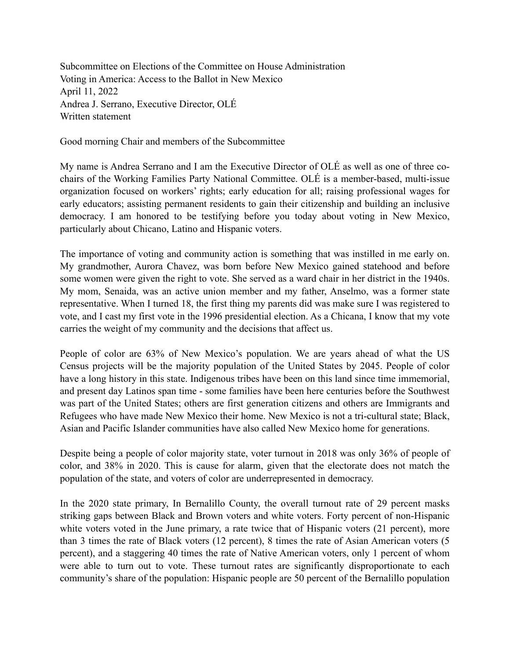Subcommittee on Elections of the Committee on House Administration Voting in America: Access to the Ballot in New Mexico April 11, 2022 Andrea J. Serrano, Executive Director, OLÉ Written statement

Good morning Chair and members of the Subcommittee

My name is Andrea Serrano and I am the Executive Director of OLÉ as well as one of three cochairs of the Working Families Party National Committee. OLÉ is a member-based, multi-issue organization focused on workers' rights; early education for all; raising professional wages for early educators; assisting permanent residents to gain their citizenship and building an inclusive democracy. I am honored to be testifying before you today about voting in New Mexico, particularly about Chicano, Latino and Hispanic voters.

The importance of voting and community action is something that was instilled in me early on. My grandmother, Aurora Chavez, was born before New Mexico gained statehood and before some women were given the right to vote. She served as a ward chair in her district in the 1940s. My mom, Senaida, was an active union member and my father, Anselmo, was a former state representative. When I turned 18, the first thing my parents did was make sure I was registered to vote, and I cast my first vote in the 1996 presidential election. As a Chicana, I know that my vote carries the weight of my community and the decisions that affect us.

People of color are 63% of New Mexico's population. We are years ahead of what the US Census projects will be the majority population of the United States by 2045. People of color have a long history in this state. Indigenous tribes have been on this land since time immemorial, and present day Latinos span time - some families have been here centuries before the Southwest was part of the United States; others are first generation citizens and others are Immigrants and Refugees who have made New Mexico their home. New Mexico is not a tri-cultural state; Black, Asian and Pacific Islander communities have also called New Mexico home for generations.

Despite being a people of color majority state, voter turnout in 2018 was only 36% of people of color, and 38% in 2020. This is cause for alarm, given that the electorate does not match the population of the state, and voters of color are underrepresented in democracy.

In the 2020 state primary, In Bernalillo County, the overall turnout rate of 29 percent masks striking gaps between Black and Brown voters and white voters. Forty percent of non-Hispanic white voters voted in the June primary, a rate twice that of Hispanic voters  $(21$  percent), more than 3 times the rate of Black voters (12 percent), 8 times the rate of Asian American voters (5 percent), and a staggering 40 times the rate of Native American voters, only 1 percent of whom were able to turn out to vote. These turnout rates are significantly disproportionate to each community's share of the population: Hispanic people are 50 percent of the Bernalillo population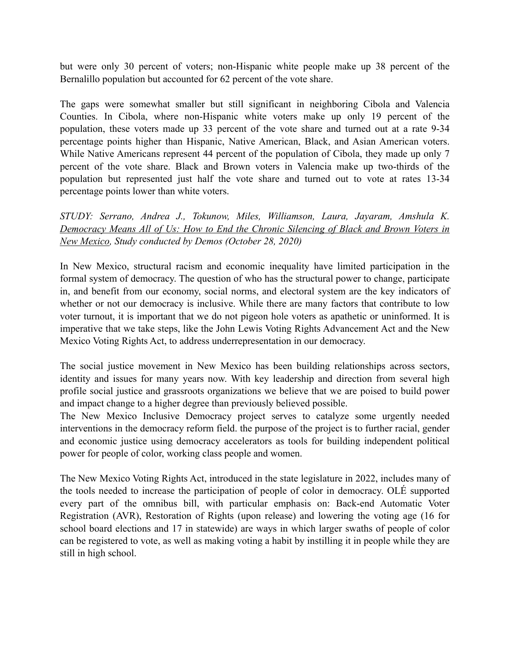but were only 30 percent of voters; non-Hispanic white people make up 38 percent of the Bernalillo population but accounted for 62 percent of the vote share.

The gaps were somewhat smaller but still significant in neighboring Cibola and Valencia Counties. In Cibola, where non-Hispanic white voters make up only 19 percent of the population, these voters made up 33 percent of the vote share and turned out at a rate 9-34 percentage points higher than Hispanic, Native American, Black, and Asian American voters. While Native Americans represent 44 percent of the population of Cibola, they made up only 7 percent of the vote share. Black and Brown voters in Valencia make up two-thirds of the population but represented just half the vote share and turned out to vote at rates 13-34 percentage points lower than white voters.

*STUDY: Serrano, Andrea J., Tokunow, Miles, Williamson, Laura, Jayaram, Amshula K. [Democracy Means All of Us: How to End the Chronic Silencing of Black and Brown Voters in](https://www.demos.org/policy-briefs/democracy-means-all-us-how-end-chronic-silencing-black-and-brown-voters-new-mexico)  [New Mexico,](https://www.demos.org/policy-briefs/democracy-means-all-us-how-end-chronic-silencing-black-and-brown-voters-new-mexico) Study conducted by Demos (October 28, 2020)*

In New Mexico, structural racism and economic inequality have limited participation in the formal system of democracy. The question of who has the structural power to change, participate in, and benefit from our economy, social norms, and electoral system are the key indicators of whether or not our democracy is inclusive. While there are many factors that contribute to low voter turnout, it is important that we do not pigeon hole voters as apathetic or uninformed. It is imperative that we take steps, like the John Lewis Voting Rights Advancement Act and the New Mexico Voting Rights Act, to address underrepresentation in our democracy.

The social justice movement in New Mexico has been building relationships across sectors, identity and issues for many years now. With key leadership and direction from several high profile social justice and grassroots organizations we believe that we are poised to build power and impact change to a higher degree than previously believed possible.

The New Mexico Inclusive Democracy project serves to catalyze some urgently needed interventions in the democracy reform field. the purpose of the project is to further racial, gender and economic justice using democracy accelerators as tools for building independent political power for people of color, working class people and women.

The New Mexico Voting Rights Act, introduced in the state legislature in 2022, includes many of the tools needed to increase the participation of people of color in democracy. OLÉ supported every part of the omnibus bill, with particular emphasis on: Back-end Automatic Voter Registration (AVR), Restoration of Rights (upon release) and lowering the voting age (16 for school board elections and 17 in statewide) are ways in which larger swaths of people of color can be registered to vote, as well as making voting a habit by instilling it in people while they are still in high school.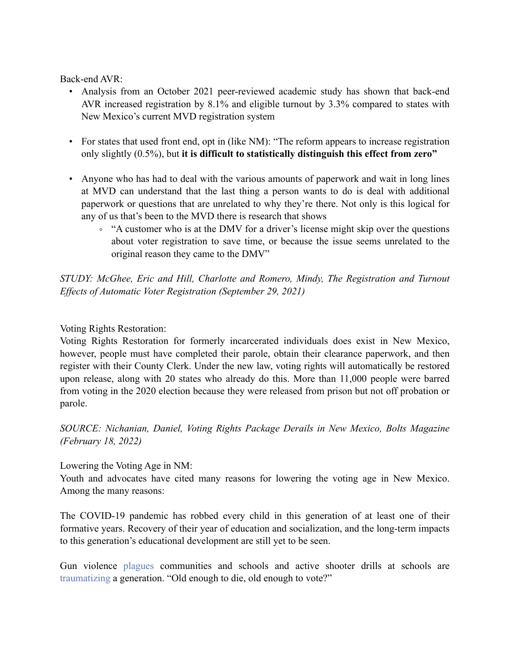Back-end AVR:

- Analysis from an October 2021 peer-reviewed academic study has shown that back-end AVR increased registration by 8.1% and eligible turnout by 3.3% compared to states with New Mexico's current MVD registration system
- For states that used front end, opt in (like NM): "The reform appears to increase registration only slightly (0.5%), but **it is difficult to statistically distinguish this effect from zero"**
- Anyone who has had to deal with the various amounts of paperwork and wait in long lines at MVD can understand that the last thing a person wants to do is deal with additional paperwork or questions that are unrelated to why they're there. Not only is this logical for any of us that's been to the MVD there is research that shows
	- "A customer who is at the DMV for a driver's license might skip over the questions about voter registration to save time, or because the issue seems unrelated to the original reason they came to the DMV"

*STUDY: McGhee, Eric and Hill, Charlotte and Romero, Mindy, The Registration and Turnout Effects of Automatic Voter Registration (September 29, 2021)*

## Voting Rights Restoration:

Voting Rights Restoration for formerly incarcerated individuals does exist in New Mexico, however, people must have completed their parole, obtain their clearance paperwork, and then register with their County Clerk. Under the new law, voting rights will automatically be restored upon release, along with 20 states who already do this. More than 11,000 people were barred from voting in the 2020 election because they were released from prison but not off probation or parole.

*SOURCE: Nichanian, Daniel, Voting Rights Package Derails in New Mexico, Bolts Magazine (February 18, 2022)*

Lowering the Voting Age in NM:

Youth and advocates have cited many reasons for lowering the voting age in New Mexico. Among the many reasons:

The COVID-19 pandemic has robbed every child in this generation of at least one of their formative years. Recovery of their year of education and socialization, and the long-term impacts to this generation's educational development are still yet to be seen.

Gun violence [plagues](https://www.amjmed.com/article/S0002-9343(15)01030-X/fulltext) communities and schools and active shooter drills at schools are [traumatizing a](https://centerforhealthjournalism.org/2019/09/17/active-shooter-drills-schools-are-traumatizing-our-children) generation. "Old enough to die, old enough to vote?"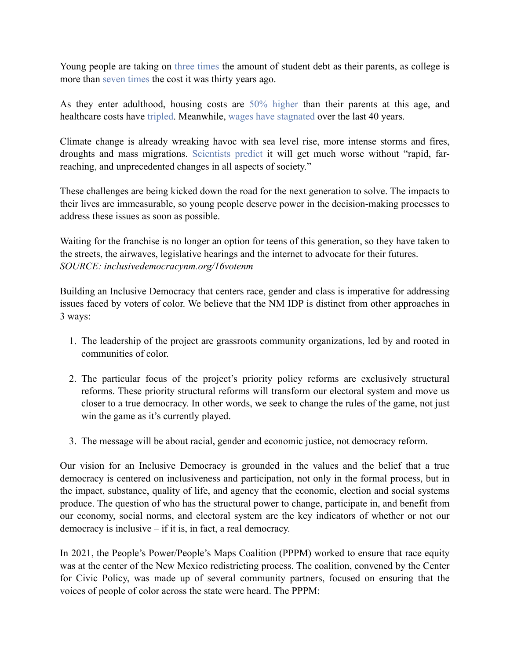Young people are taking on [three times](https://educationdata.org/average-student-loan-debt-by-year) the amount of student debt as their parents, as college is more than [seven times](https://nces.ed.gov/FastFacts/display.asp?id=76) the cost it was thirty years ago.

As they enter adulthood, housing costs are [50% higher](https://inflationdata.com/articles/inflation-adjusted-prices/inflation-adjusted-housing-prices/) than their parents at this age, and healthcare costs have [tripled](https://usafacts.org/articles/the-state-of-healthcare-at-the-end-of-2020/). Meanwhile, [wages have stagnated](https://www.pewresearch.org/fact-tank/2018/08/07/for-most-us-workers-real-wages-have-barely-budged-for-decades/) over the last 40 years.

Climate change is already wreaking havoc with sea level rise, more intense storms and fires, droughts and mass migrations. [Scientists predict](https://www.ipcc.ch/sr15/mulitimedia/worlds-apart/) it will get much worse without "rapid, farreaching, and unprecedented changes in all aspects of society."

These challenges are being kicked down the road for the next generation to solve. The impacts to their lives are immeasurable, so young people deserve power in the decision-making processes to address these issues as soon as possible.

Waiting for the franchise is no longer an option for teens of this generation, so they have taken to the streets, the airwaves, legislative hearings and the internet to advocate for their futures. *SOURCE: inclusivedemocracynm.org/16votenm*

Building an Inclusive Democracy that centers race, gender and class is imperative for addressing issues faced by voters of color. We believe that the NM IDP is distinct from other approaches in 3 ways:

- 1. The leadership of the project are grassroots community organizations, led by and rooted in communities of color.
- 2. The particular focus of the project's priority policy reforms are exclusively structural reforms. These priority structural reforms will transform our electoral system and move us closer to a true democracy. In other words, we seek to change the rules of the game, not just win the game as it's currently played.
- 3. The message will be about racial, gender and economic justice, not democracy reform.

Our vision for an Inclusive Democracy is grounded in the values and the belief that a true democracy is centered on inclusiveness and participation, not only in the formal process, but in the impact, substance, quality of life, and agency that the economic, election and social systems produce. The question of who has the structural power to change, participate in, and benefit from our economy, social norms, and electoral system are the key indicators of whether or not our democracy is inclusive – if it is, in fact, a real democracy.

In 2021, the People's Power/People's Maps Coalition (PPPM) worked to ensure that race equity was at the center of the New Mexico redistricting process. The coalition, convened by the Center for Civic Policy, was made up of several community partners, focused on ensuring that the voices of people of color across the state were heard. The PPPM: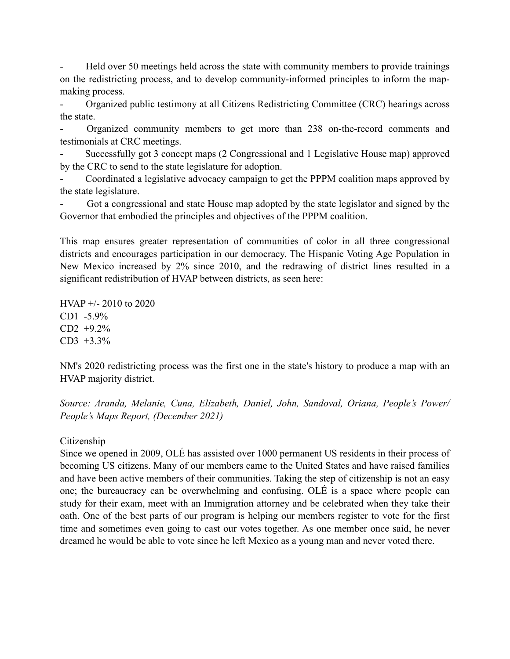Held over 50 meetings held across the state with community members to provide trainings on the redistricting process, and to develop community-informed principles to inform the mapmaking process.

- Organized public testimony at all Citizens Redistricting Committee (CRC) hearings across the state.

- Organized community members to get more than 238 on-the-record comments and testimonials at CRC meetings.

- Successfully got 3 concept maps (2 Congressional and 1 Legislative House map) approved by the CRC to send to the state legislature for adoption.

- Coordinated a legislative advocacy campaign to get the PPPM coalition maps approved by the state legislature.

Got a congressional and state House map adopted by the state legislator and signed by the Governor that embodied the principles and objectives of the PPPM coalition.

This map ensures greater representation of communities of color in all three congressional districts and encourages participation in our democracy. The Hispanic Voting Age Population in New Mexico increased by 2% since 2010, and the redrawing of district lines resulted in a significant redistribution of HVAP between districts, as seen here:

HVAP +/- 2010 to 2020 CD1 -5.9% CD2 +9.2% CD3 +3.3%

NM's 2020 redistricting process was the first one in the state's history to produce a map with an HVAP majority district.

*Source: Aranda, Melanie, Cuna, Elizabeth, Daniel, John, Sandoval, Oriana, People's Power/ People's Maps Report, (December 2021)*

## Citizenship

Since we opened in 2009, OLÉ has assisted over 1000 permanent US residents in their process of becoming US citizens. Many of our members came to the United States and have raised families and have been active members of their communities. Taking the step of citizenship is not an easy one; the bureaucracy can be overwhelming and confusing. OLÉ is a space where people can study for their exam, meet with an Immigration attorney and be celebrated when they take their oath. One of the best parts of our program is helping our members register to vote for the first time and sometimes even going to cast our votes together. As one member once said, he never dreamed he would be able to vote since he left Mexico as a young man and never voted there.